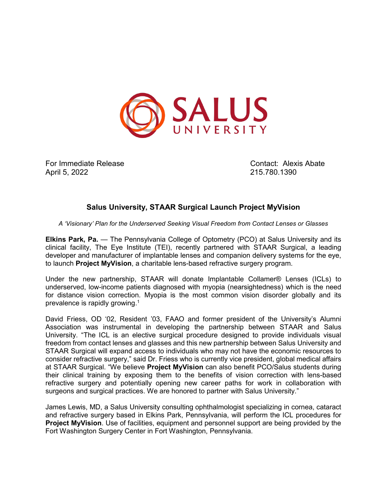

For Immediate Release Contact: Alexis Abate April 5, 2022 215.780.1390

## **Salus University, STAAR Surgical Launch Project MyVision**

*A 'Visionary' Plan for the Underserved Seeking Visual Freedom from Contact Lenses or Glasses*

**Elkins Park, Pa.** — The Pennsylvania College of Optometry (PCO) at Salus University and its clinical facility, The Eye Institute (TEI), recently partnered with STAAR Surgical, a leading developer and manufacturer of implantable lenses and companion delivery systems for the eye, to launch **Project MyVision**, a charitable lens-based refractive surgery program.

Under the new partnership, STAAR will donate Implantable Collamer® Lenses (ICLs) to underserved, low-income patients diagnosed with myopia (nearsightedness) which is the need for distance vision correction. Myopia is the most common vision disorder globally and its prevalence is rapidly growing.1

David Friess, OD '02, Resident '03, FAAO and former president of the University's Alumni Association was instrumental in developing the partnership between STAAR and Salus University. "The ICL is an elective surgical procedure designed to provide individuals visual freedom from contact lenses and glasses and this new partnership between Salus University and STAAR Surgical will expand access to individuals who may not have the economic resources to consider refractive surgery," said Dr. Friess who is currently vice president, global medical affairs at STAAR Surgical. "We believe **Project MyVision** can also benefit PCO/Salus students during their clinical training by exposing them to the benefits of vision correction with lens-based refractive surgery and potentially opening new career paths for work in collaboration with surgeons and surgical practices. We are honored to partner with Salus University."

James Lewis, MD, a Salus University consulting ophthalmologist specializing in cornea, cataract and refractive surgery based in Elkins Park, Pennsylvania, will perform the ICL procedures for **Project MyVision**. Use of facilities, equipment and personnel support are being provided by the Fort Washington Surgery Center in Fort Washington, Pennsylvania.